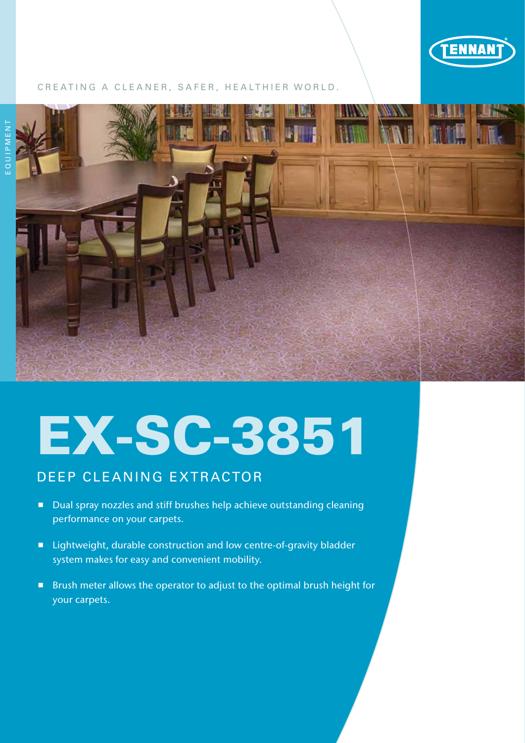

## CREATING A CLEANER, SAFER, HEALTHIER WORLD.



# EX-SC-3851

# DEEP CLEANING EXTRACTOR

- Dual spray nozzles and stiff brushes help achieve outstanding cleaning performance on your carpets.
- Lightweight, durable construction and low centre-of-gravity bladder system makes for easy and convenient mobility.
- **Brush meter allows the operator to adjust to the optimal brush height for** your carpets.